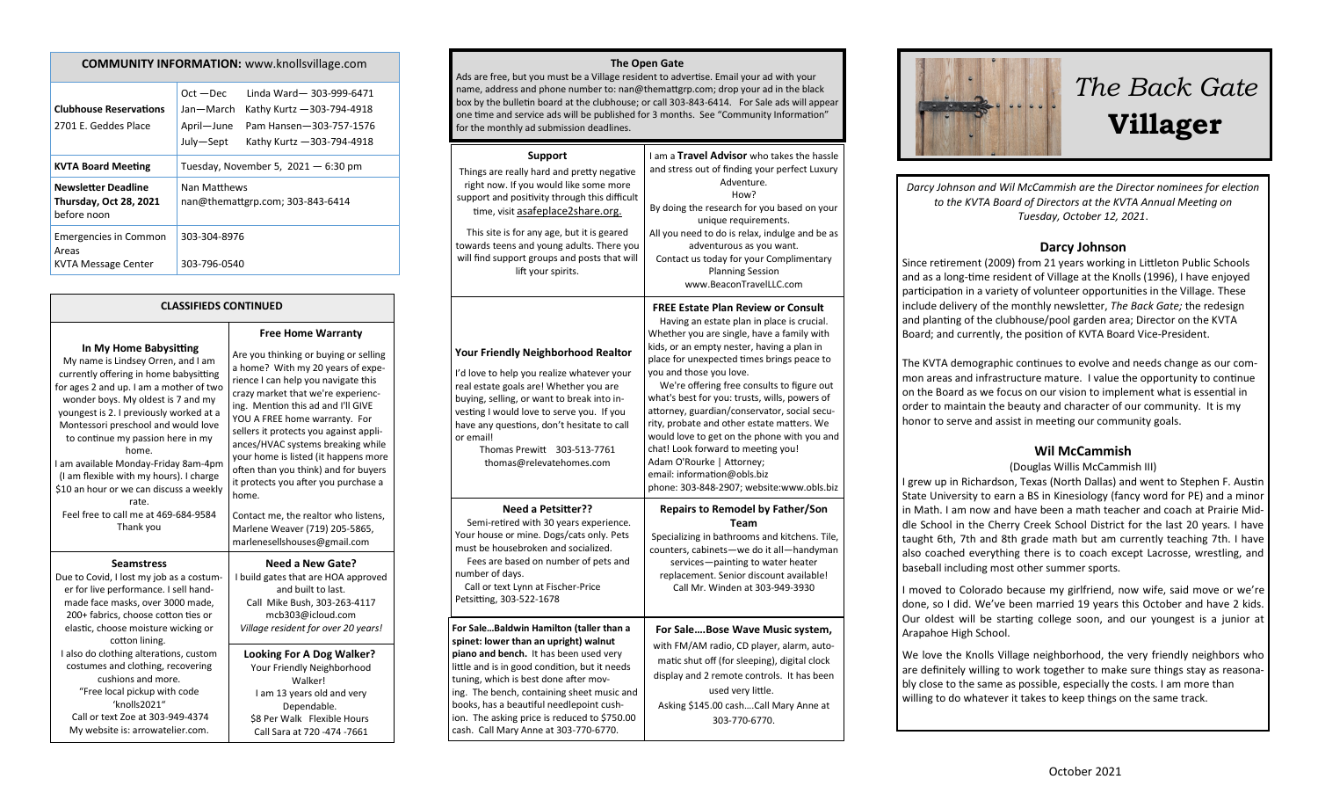|                                                                            | Linda Ward-303-999-6471<br>$Oct - Dec$           |  |
|----------------------------------------------------------------------------|--------------------------------------------------|--|
| <b>Clubhouse Reservations</b>                                              | Kathy Kurtz - 303-794-4918<br>Jan—March          |  |
| 2701 E. Geddes Place                                                       | April-June<br>Pam Hansen-303-757-1576            |  |
|                                                                            | July-Sept<br>Kathy Kurtz - 303-794-4918          |  |
| <b>KVTA Board Meeting</b>                                                  | Tuesday, November 5, $2021 - 6:30$ pm            |  |
| <b>Newsletter Deadline</b><br><b>Thursday, Oct 28, 2021</b><br>before noon | Nan Matthews<br>nan@themattgrp.com; 303-843-6414 |  |
| <b>Emergencies in Common</b><br>Areas                                      | 303-304-8976                                     |  |
| <b>KVTA Message Center</b>                                                 | 303-796-0540                                     |  |

**COMMUNITY INFORMATION:** www.knollsvillage.com

### **CLASSIFIEDS CONTINUED**

#### **In My Home Babysitting**

My name is Lindsey Orren, and I am currently offering in home babysitting for ages 2 and up. I am a mother of two wonder boys. My oldest is 7 and my youngest is 2. I previously worked at a Montessori preschool and would love to continue my passion here in my home. I am available Monday-Friday 8am-4pm (I am flexible with my hours). I charge \$10 an hour or we can discuss a weekly rate. Feel free to call me at 469-684-9584 Thank you **Seamstress** Due to Covid, I lost my job as a costumer for live performance. I sell handmade face masks, over 3000 made, 200+ fabrics, choose cotton ties or elastic, choose moisture wicking or cotton lining. I also do clothing alterations, custom costumes and clothing, recovering

cushions and more. "Free local pickup with code 'knolls2021" Call or text Zoe at 303-949-4374 My website is: arrowatelier.com.

**Free Home Warranty** Are you thinking or buying or selling a home? With my 20 years of experience I can help you navigate this crazy market that we're experiencing. Mention this ad and I'll GIVE YOU A FREE home warranty. For sellers it protects you against appliances/HVAC systems breaking while your home is listed (it happens more often than you think) and for buyers it protects you after you purchase a home. Contact me, the realtor who listens, Marlene Weaver (719) 205-5865, marlenesellshouses@gmail.com **Need a New Gate?** I build gates that are HOA approved and built to last. Call Mike Bush, 303-263-4117

mcb303@icloud.com *Village resident for over 20 years!*

**Looking For A Dog Walker?** Your Friendly Neighborhood Walker! I am 13 years old and very Dependable. \$8 Per Walk Flexible Hours Call Sara at 720 -474 -7661

#### **The Open Gate**

Ads are free, but you must be a Village resident to advertise. Email your ad with your name, address and phone number to: nan@themattgrp.com; drop your ad in the black box by the bulletin board at the clubhouse; or call 303-843-6414. For Sale ads will appear one time and service ads will be published for 3 months. See "Community Information" for the monthly ad submission deadlines.

| Support<br>Things are really hard and pretty negative<br>right now. If you would like some more<br>support and positivity through this difficult<br>time, visit asafeplace2share.org.<br>This site is for any age, but it is geared<br>towards teens and young adults. There you<br>will find support groups and posts that will<br>lift your spirits.                                                  | I am a Travel Advisor who takes the hassle<br>and stress out of finding your perfect Luxury<br>Adventure.<br>How?<br>By doing the research for you based on your<br>unique requirements.<br>All you need to do is relax, indulge and be as<br>adventurous as you want.<br>Contact us today for your Complimentary<br><b>Planning Session</b><br>www.BeaconTravelLLC.com                                                                                                                                                                                                                                                                                 |
|---------------------------------------------------------------------------------------------------------------------------------------------------------------------------------------------------------------------------------------------------------------------------------------------------------------------------------------------------------------------------------------------------------|---------------------------------------------------------------------------------------------------------------------------------------------------------------------------------------------------------------------------------------------------------------------------------------------------------------------------------------------------------------------------------------------------------------------------------------------------------------------------------------------------------------------------------------------------------------------------------------------------------------------------------------------------------|
| <b>Your Friendly Neighborhood Realtor</b><br>I'd love to help you realize whatever your<br>real estate goals are! Whether you are<br>buying, selling, or want to break into in-<br>vesting I would love to serve you. If you<br>have any questions, don't hesitate to call<br>or email!<br>Thomas Prewitt<br>303-513-7761<br>thomas@relevatehomes.com                                                   | <b>FREE Estate Plan Review or Consult</b><br>Having an estate plan in place is crucial.<br>Whether you are single, have a family with<br>kids, or an empty nester, having a plan in<br>place for unexpected times brings peace to<br>you and those you love.<br>We're offering free consults to figure out<br>what's best for you: trusts, wills, powers of<br>attorney, guardian/conservator, social secu-<br>rity, probate and other estate matters. We<br>would love to get on the phone with you and<br>chat! Look forward to meeting you!<br>Adam O'Rourke   Attorney;<br>email: information@obls.biz<br>phone: 303-848-2907; website:www.obls.biz |
| <b>Need a Petsitter??</b><br>Semi-retired with 30 years experience.<br>Your house or mine. Dogs/cats only. Pets<br>must be housebroken and socialized.<br>Fees are based on number of pets and<br>number of days.<br>Call or text Lynn at Fischer-Price<br>Petsitting, 303-522-1678                                                                                                                     | <b>Repairs to Remodel by Father/Son</b><br><b>Team</b><br>Specializing in bathrooms and kitchens. Tile,<br>counters, cabinets-we do it all-handyman<br>services-painting to water heater<br>replacement. Senior discount available!<br>Call Mr. Winden at 303-949-3930                                                                                                                                                                                                                                                                                                                                                                                  |
| For SaleBaldwin Hamilton (taller than a<br>spinet: lower than an upright) walnut<br>piano and bench. It has been used very<br>little and is in good condition, but it needs<br>tuning, which is best done after mov-<br>ing. The bench, containing sheet music and<br>books, has a beautiful needlepoint cush-<br>ion. The asking price is reduced to \$750.00<br>cash. Call Mary Anne at 303-770-6770. | For SaleBose Wave Music system,<br>with FM/AM radio, CD player, alarm, auto-<br>matic shut off (for sleeping), digital clock<br>display and 2 remote controls. It has been<br>used very little.<br>Asking \$145.00 cashCall Mary Anne at<br>303-770-6770.                                                                                                                                                                                                                                                                                                                                                                                               |



*Darcy Johnson and Wil McCammish are the Director nominees for election to the KVTA Board of Directors at the KVTA Annual Meeting on Tuesday, October 12, 2021*.

### **Darcy Johnson**

Since retirement (2009) from 21 years working in Littleton Public Schools and as a long-time resident of Village at the Knolls (1996), I have enjoyed participation in a variety of volunteer opportunities in the Village. These include delivery of the monthly newsletter, *The Back Gate;* the redesign and planting of the clubhouse/pool garden area; Director on the KVTA Board; and currently, the position of KVTA Board Vice-President.

The KVTA demographic continues to evolve and needs change as our common areas and infrastructure mature. I value the opportunity to continue on the Board as we focus on our vision to implement what is essential in order to maintain the beauty and character of our community. It is my honor to serve and assist in meeting our community goals.

### **Wil McCammish**

### (Douglas Willis McCammish III)

I grew up in Richardson, Texas (North Dallas) and went to Stephen F. Austin State University to earn a BS in Kinesiology (fancy word for PE) and a minor in Math. I am now and have been a math teacher and coach at Prairie Middle School in the Cherry Creek School District for the last 20 years. I have taught 6th, 7th and 8th grade math but am currently teaching 7th. I have also coached everything there is to coach except Lacrosse, wrestling, and baseball including most other summer sports.

I moved to Colorado because my girlfriend, now wife, said move or we're done, so I did. We've been married 19 years this October and have 2 kids. Our oldest will be starting college soon, and our youngest is a junior at Arapahoe High School.

We love the Knolls Village neighborhood, the very friendly neighbors who are definitely willing to work together to make sure things stay as reasonably close to the same as possible, especially the costs. I am more than willing to do whatever it takes to keep things on the same track.